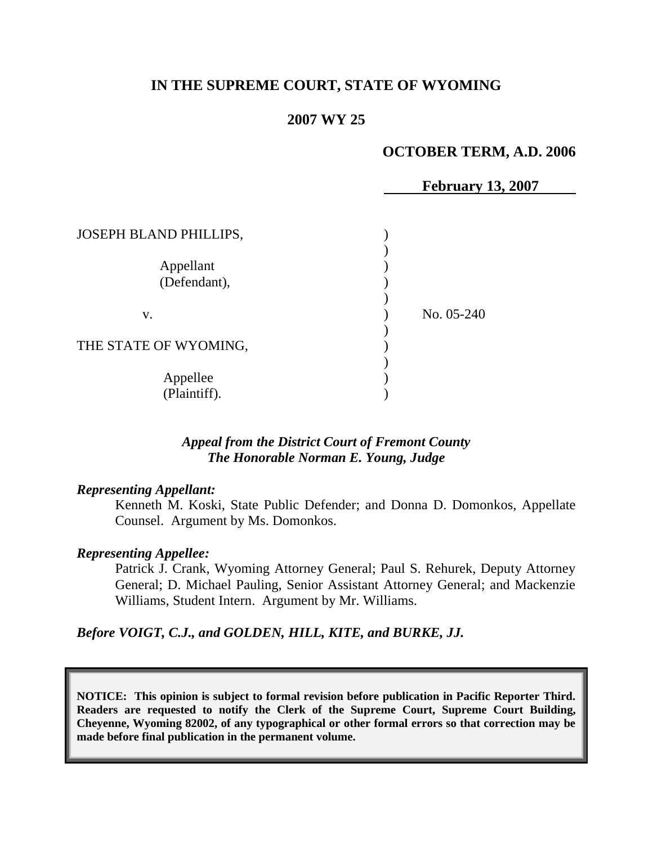## **IN THE SUPREME COURT, STATE OF WYOMING**

#### **2007 WY 25**

#### **OCTOBER TERM, A.D. 2006**

|                        | <b>February 13, 2007</b> |
|------------------------|--------------------------|
|                        |                          |
| JOSEPH BLAND PHILLIPS, |                          |
|                        |                          |
| Appellant              |                          |
| (Defendant),           |                          |
|                        |                          |
| V.                     | No. 05-240               |
|                        |                          |
| THE STATE OF WYOMING,  |                          |
|                        |                          |
| Appellee               |                          |
| (Plaintiff).           |                          |
|                        |                          |

# *Appeal from the District Court of Fremont County The Honorable Norman E. Young, Judge*

#### *Representing Appellant:*

Kenneth M. Koski, State Public Defender; and Donna D. Domonkos, Appellate Counsel. Argument by Ms. Domonkos.

#### *Representing Appellee:*

Patrick J. Crank, Wyoming Attorney General; Paul S. Rehurek, Deputy Attorney General; D. Michael Pauling, Senior Assistant Attorney General; and Mackenzie Williams, Student Intern. Argument by Mr. Williams.

*Before VOIGT, C.J., and GOLDEN, HILL, KITE, and BURKE, JJ.*

**NOTICE: This opinion is subject to formal revision before publication in Pacific Reporter Third. Readers are requested to notify the Clerk of the Supreme Court, Supreme Court Building, Cheyenne, Wyoming 82002, of any typographical or other formal errors so that correction may be made before final publication in the permanent volume.**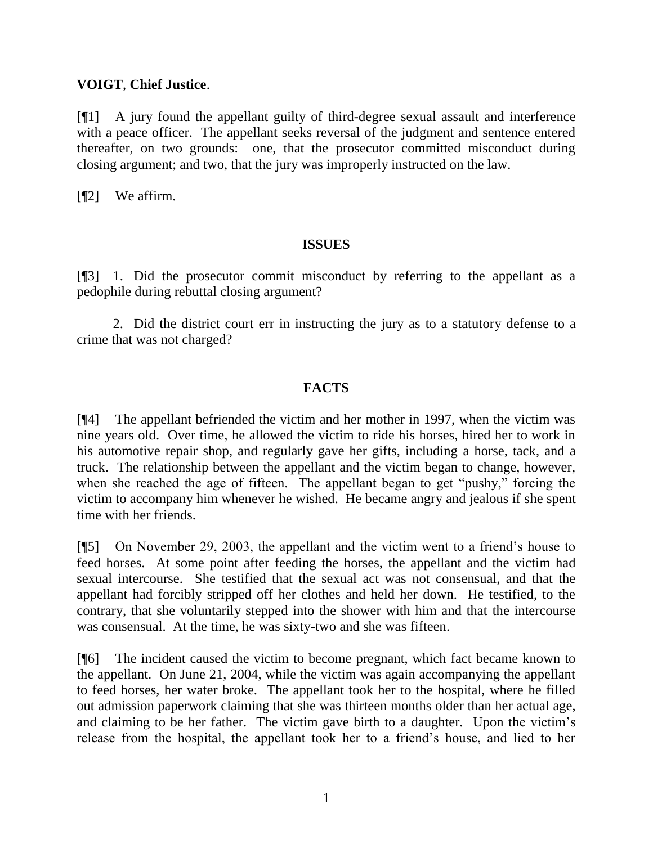## **VOIGT**, **Chief Justice**.

[¶1] A jury found the appellant guilty of third-degree sexual assault and interference with a peace officer. The appellant seeks reversal of the judgment and sentence entered thereafter, on two grounds: one, that the prosecutor committed misconduct during closing argument; and two, that the jury was improperly instructed on the law.

[¶2] We affirm.

### **ISSUES**

[¶3] 1. Did the prosecutor commit misconduct by referring to the appellant as a pedophile during rebuttal closing argument?

2. Did the district court err in instructing the jury as to a statutory defense to a crime that was not charged?

### **FACTS**

[¶4] The appellant befriended the victim and her mother in 1997, when the victim was nine years old. Over time, he allowed the victim to ride his horses, hired her to work in his automotive repair shop, and regularly gave her gifts, including a horse, tack, and a truck. The relationship between the appellant and the victim began to change, however, when she reached the age of fifteen. The appellant began to get "pushy," forcing the victim to accompany him whenever he wished. He became angry and jealous if she spent time with her friends.

[¶5] On November 29, 2003, the appellant and the victim went to a friend's house to feed horses. At some point after feeding the horses, the appellant and the victim had sexual intercourse. She testified that the sexual act was not consensual, and that the appellant had forcibly stripped off her clothes and held her down. He testified, to the contrary, that she voluntarily stepped into the shower with him and that the intercourse was consensual. At the time, he was sixty-two and she was fifteen.

[¶6] The incident caused the victim to become pregnant, which fact became known to the appellant. On June 21, 2004, while the victim was again accompanying the appellant to feed horses, her water broke. The appellant took her to the hospital, where he filled out admission paperwork claiming that she was thirteen months older than her actual age, and claiming to be her father. The victim gave birth to a daughter. Upon the victim's release from the hospital, the appellant took her to a friend's house, and lied to her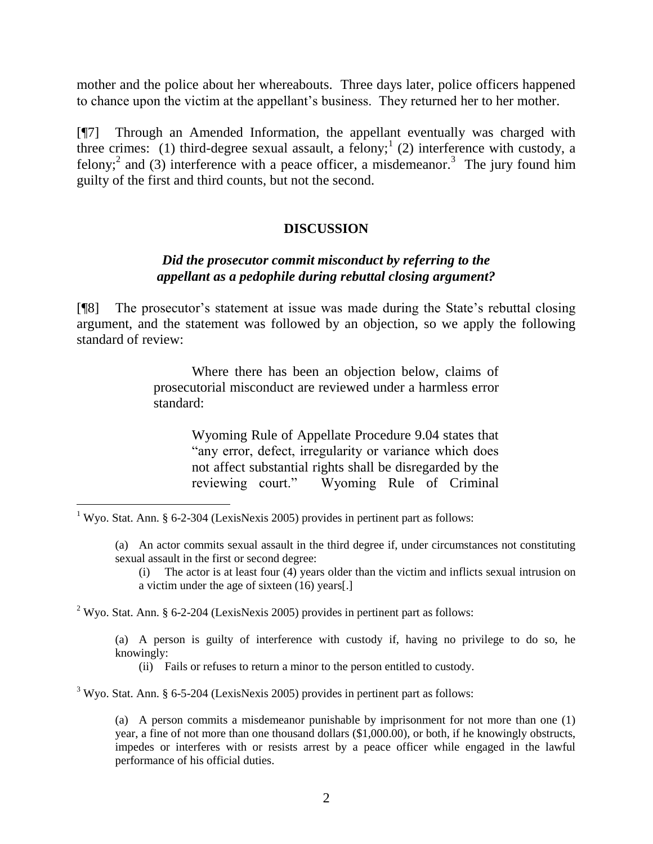mother and the police about her whereabouts. Three days later, police officers happened to chance upon the victim at the appellant's business. They returned her to her mother.

[¶7] Through an Amended Information, the appellant eventually was charged with three crimes: (1) third-degree sexual assault, a felony;<sup>1</sup> (2) interference with custody, a felony;<sup>2</sup> and (3) interference with a peace officer, a misdemeanor.<sup>3</sup> The jury found him guilty of the first and third counts, but not the second.

### **DISCUSSION**

## *Did the prosecutor commit misconduct by referring to the appellant as a pedophile during rebuttal closing argument?*

[¶8] The prosecutor's statement at issue was made during the State's rebuttal closing argument, and the statement was followed by an objection, so we apply the following standard of review:

> Where there has been an objection below, claims of prosecutorial misconduct are reviewed under a harmless error standard:

> > Wyoming Rule of Appellate Procedure 9.04 states that "any error, defect, irregularity or variance which does not affect substantial rights shall be disregarded by the reviewing court." Wyoming Rule of Criminal

 $\overline{a}$ 

<sup>2</sup> Wyo. Stat. Ann. § 6-2-204 (LexisNexis 2005) provides in pertinent part as follows:

(a) A person is guilty of interference with custody if, having no privilege to do so, he knowingly:

(ii) Fails or refuses to return a minor to the person entitled to custody.

 $3$  Wyo. Stat. Ann. § 6-5-204 (LexisNexis 2005) provides in pertinent part as follows:

(a) A person commits a misdemeanor punishable by imprisonment for not more than one (1) year, a fine of not more than one thousand dollars (\$1,000.00), or both, if he knowingly obstructs, impedes or interferes with or resists arrest by a peace officer while engaged in the lawful performance of his official duties.

<sup>&</sup>lt;sup>1</sup> Wyo. Stat. Ann. § 6-2-304 (LexisNexis 2005) provides in pertinent part as follows:

<sup>(</sup>a) An actor commits sexual assault in the third degree if, under circumstances not constituting sexual assault in the first or second degree:

<sup>(</sup>i) The actor is at least four (4) years older than the victim and inflicts sexual intrusion on a victim under the age of sixteen (16) years[.]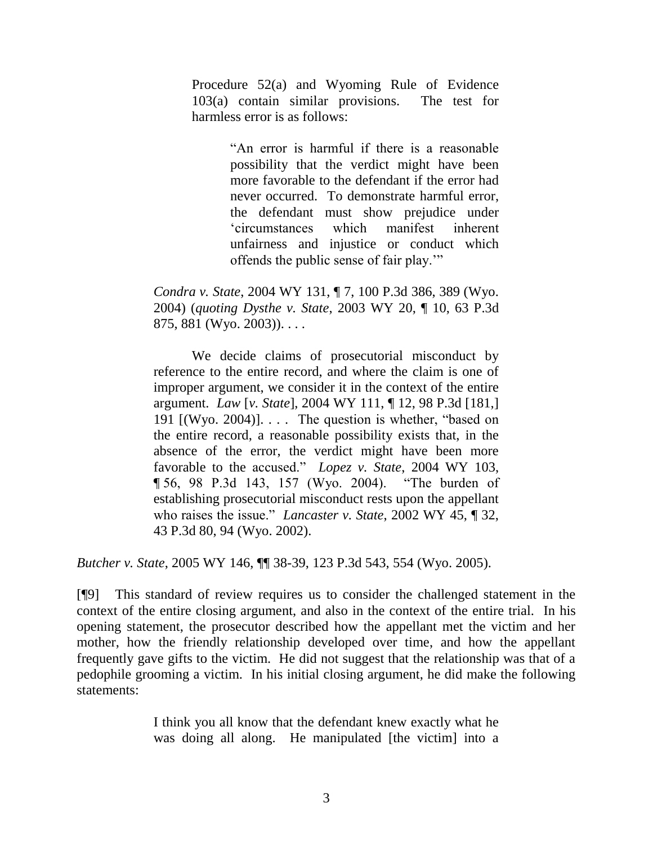Procedure 52(a) and Wyoming Rule of Evidence 103(a) contain similar provisions. The test for harmless error is as follows:

> ―An error is harmful if there is a reasonable possibility that the verdict might have been more favorable to the defendant if the error had never occurred. To demonstrate harmful error, the defendant must show prejudice under ‗circumstances which manifest inherent unfairness and injustice or conduct which offends the public sense of fair play."

*Condra v. State*, 2004 WY 131, ¶ 7, 100 P.3d 386, 389 (Wyo. 2004) (*quoting Dysthe v. State*, 2003 WY 20, ¶ 10, 63 P.3d 875, 881 (Wyo. 2003)). . . .

We decide claims of prosecutorial misconduct by reference to the entire record, and where the claim is one of improper argument, we consider it in the context of the entire argument. *Law* [*v. State*], 2004 WY 111, ¶ 12, 98 P.3d [181,] 191  $[(Wyo. 2004)]$ .... The question is whether, "based on the entire record, a reasonable possibility exists that, in the absence of the error, the verdict might have been more favorable to the accused." *Lopez v. State*, 2004 WY 103, ¶ 56, 98 P.3d 143, 157 (Wyo. 2004). ―The burden of establishing prosecutorial misconduct rests upon the appellant who raises the issue." *Lancaster v. State*, 2002 WY 45, ¶ 32, 43 P.3d 80, 94 (Wyo. 2002).

*Butcher v. State*, 2005 WY 146, ¶¶ 38-39, 123 P.3d 543, 554 (Wyo. 2005).

[¶9] This standard of review requires us to consider the challenged statement in the context of the entire closing argument, and also in the context of the entire trial. In his opening statement, the prosecutor described how the appellant met the victim and her mother, how the friendly relationship developed over time, and how the appellant frequently gave gifts to the victim. He did not suggest that the relationship was that of a pedophile grooming a victim. In his initial closing argument, he did make the following statements:

> I think you all know that the defendant knew exactly what he was doing all along. He manipulated [the victim] into a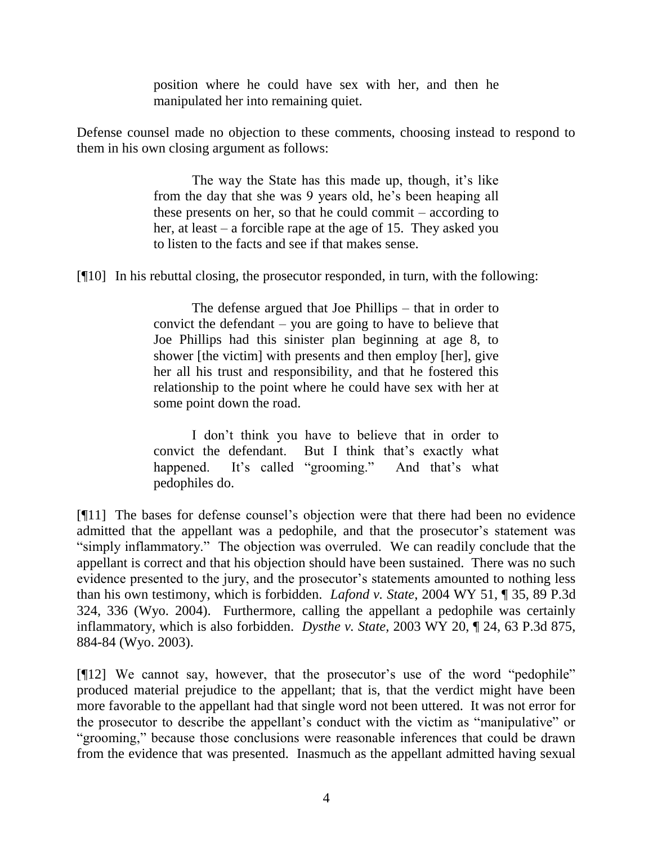position where he could have sex with her, and then he manipulated her into remaining quiet.

Defense counsel made no objection to these comments, choosing instead to respond to them in his own closing argument as follows:

> The way the State has this made up, though, it's like from the day that she was 9 years old, he's been heaping all these presents on her, so that he could commit – according to her, at least – a forcible rape at the age of 15. They asked you to listen to the facts and see if that makes sense.

[¶10] In his rebuttal closing, the prosecutor responded, in turn, with the following:

The defense argued that Joe Phillips – that in order to convict the defendant – you are going to have to believe that Joe Phillips had this sinister plan beginning at age 8, to shower [the victim] with presents and then employ [her], give her all his trust and responsibility, and that he fostered this relationship to the point where he could have sex with her at some point down the road.

I don't think you have to believe that in order to convict the defendant. But I think that's exactly what happened. It's called "grooming." And that's what pedophiles do.

[¶11] The bases for defense counsel's objection were that there had been no evidence admitted that the appellant was a pedophile, and that the prosecutor's statement was "simply inflammatory." The objection was overruled. We can readily conclude that the appellant is correct and that his objection should have been sustained. There was no such evidence presented to the jury, and the prosecutor's statements amounted to nothing less than his own testimony, which is forbidden. *Lafond v. State*, 2004 WY 51, ¶ 35, 89 P.3d 324, 336 (Wyo. 2004). Furthermore, calling the appellant a pedophile was certainly inflammatory, which is also forbidden. *Dysthe v. State,* 2003 WY 20, ¶ 24, 63 P.3d 875, 884-84 (Wyo. 2003).

 $[912]$  We cannot say, however, that the prosecutor's use of the word "pedophile" produced material prejudice to the appellant; that is, that the verdict might have been more favorable to the appellant had that single word not been uttered. It was not error for the prosecutor to describe the appellant's conduct with the victim as "manipulative" or "grooming," because those conclusions were reasonable inferences that could be drawn from the evidence that was presented. Inasmuch as the appellant admitted having sexual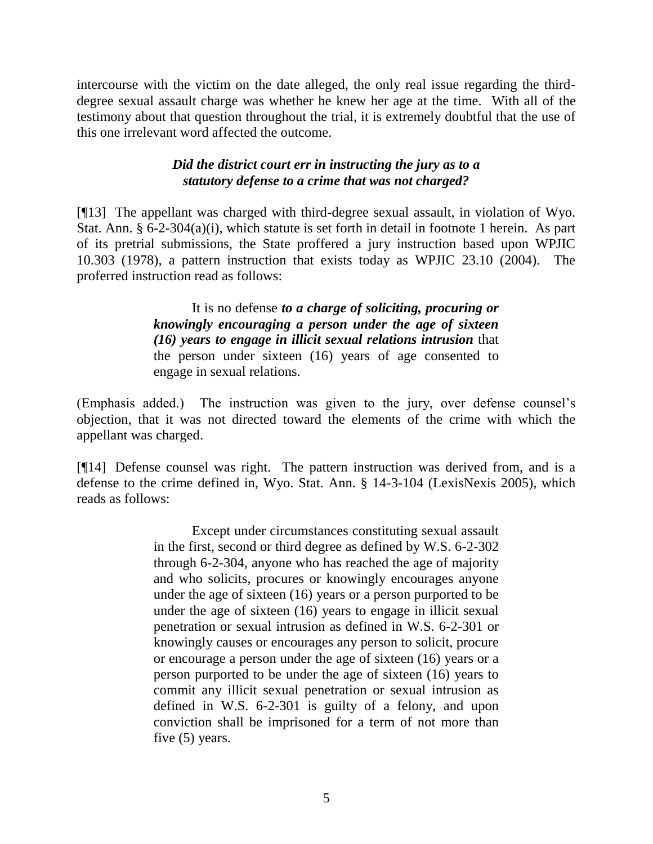intercourse with the victim on the date alleged, the only real issue regarding the thirddegree sexual assault charge was whether he knew her age at the time. With all of the testimony about that question throughout the trial, it is extremely doubtful that the use of this one irrelevant word affected the outcome.

# *Did the district court err in instructing the jury as to a statutory defense to a crime that was not charged?*

[¶13] The appellant was charged with third-degree sexual assault, in violation of Wyo. Stat. Ann. § 6-2-304(a)(i), which statute is set forth in detail in footnote 1 herein. As part of its pretrial submissions, the State proffered a jury instruction based upon WPJIC 10.303 (1978), a pattern instruction that exists today as WPJIC 23.10 (2004). The proferred instruction read as follows:

> It is no defense *to a charge of soliciting, procuring or knowingly encouraging a person under the age of sixteen (16) years to engage in illicit sexual relations intrusion* that the person under sixteen (16) years of age consented to engage in sexual relations.

(Emphasis added.) The instruction was given to the jury, over defense counsel's objection, that it was not directed toward the elements of the crime with which the appellant was charged.

[¶14] Defense counsel was right. The pattern instruction was derived from, and is a defense to the crime defined in, Wyo. Stat. Ann. § 14-3-104 (LexisNexis 2005), which reads as follows:

> Except under circumstances constituting sexual assault in the first, second or third degree as defined by W.S. 6-2-302 through 6-2-304, anyone who has reached the age of majority and who solicits, procures or knowingly encourages anyone under the age of sixteen (16) years or a person purported to be under the age of sixteen (16) years to engage in illicit sexual penetration or sexual intrusion as defined in W.S. 6-2-301 or knowingly causes or encourages any person to solicit, procure or encourage a person under the age of sixteen (16) years or a person purported to be under the age of sixteen (16) years to commit any illicit sexual penetration or sexual intrusion as defined in W.S. 6-2-301 is guilty of a felony, and upon conviction shall be imprisoned for a term of not more than five (5) years.